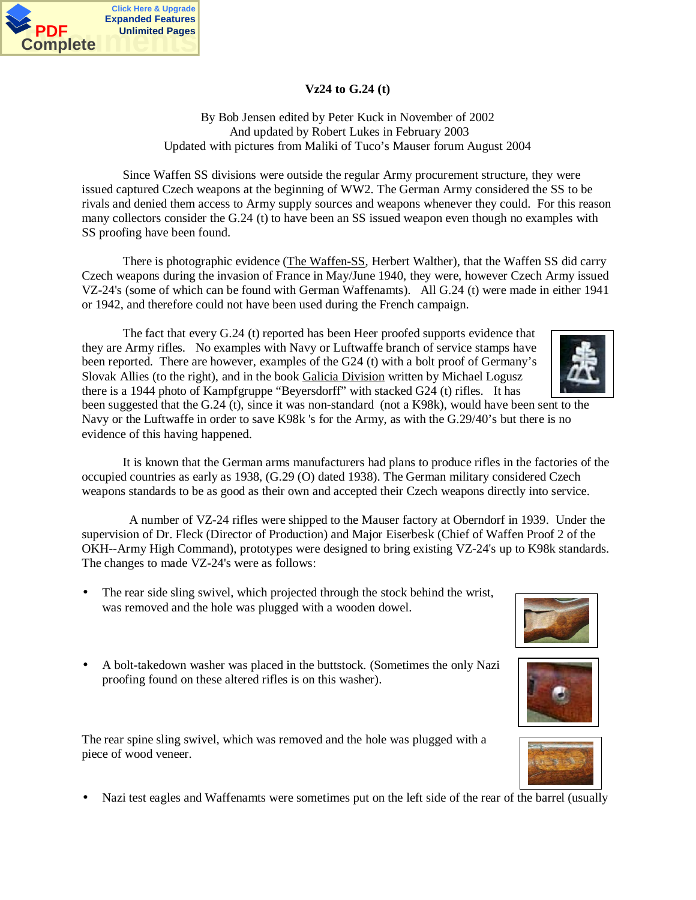

## **Vz24 to G.24 (t)**

By Bob Jensen edited by Peter Kuck in November of 2002 And updated by Robert Lukes in February 2003 Updated with pictures from Maliki of Tuco's Mauser forum August 2004

Since Waffen SS divisions were outside the regular Army procurement structure, they were issued captured Czech weapons at the beginning of WW2. The German Army considered the SS to be rivals and denied them access to Army supply sources and weapons whenever they could. For this reason many collectors consider the G.24 (t) to have been an SS issued weapon even though no examples with SS proofing have been found.

There is photographic evidence (The Waffen-SS, Herbert Walther), that the Waffen SS did carry Czech weapons during the invasion of France in May/June 1940, they were, however Czech Army issued VZ-24's (some of which can be found with German Waffenamts). All G.24 (t) were made in either 1941 or 1942, and therefore could not have been used during the French campaign.

The fact that every G.24 (t) reported has been Heer proofed supports evidence that they are Army rifles. No examples with Navy or Luftwaffe branch of service stamps have been reported. There are however, examples of the G24 (t) with a bolt proof of Germany's Slovak Allies (to the right), and in the book Galicia Division written by Michael Logusz there is a 1944 photo of Kampfgruppe "Beyersdorff" with stacked G24 (t) rifles. It has

been suggested that the G.24 (t), since it was non-standard (not a K98k), would have been sent to the Navy or the Luftwaffe in order to save K98k 's for the Army, as with the G.29/40's but there is no evidence of this having happened.

It is known that the German arms manufacturers had plans to produce rifles in the factories of the occupied countries as early as 1938, (G.29 (O) dated 1938). The German military considered Czech weapons standards to be as good as their own and accepted their Czech weapons directly into service.

 A number of VZ-24 rifles were shipped to the Mauser factory at Oberndorf in 1939. Under the supervision of Dr. Fleck (Director of Production) and Major Eiserbesk (Chief of Waffen Proof 2 of the OKH--Army High Command), prototypes were designed to bring existing VZ-24's up to K98k standards. The changes to made VZ-24's were as follows:

- The rear side sling swivel, which projected through the stock behind the wrist, was removed and the hole was plugged with a wooden dowel.
- A bolt-takedown washer was placed in the buttstock. (Sometimes the only Nazi proofing found on these altered rifles is on this washer).

The rear spine sling swivel, which was removed and the hole was plugged with a piece of wood veneer.

• Nazi test eagles and Waffenamts were sometimes put on the left side of the rear of the barrel (usually







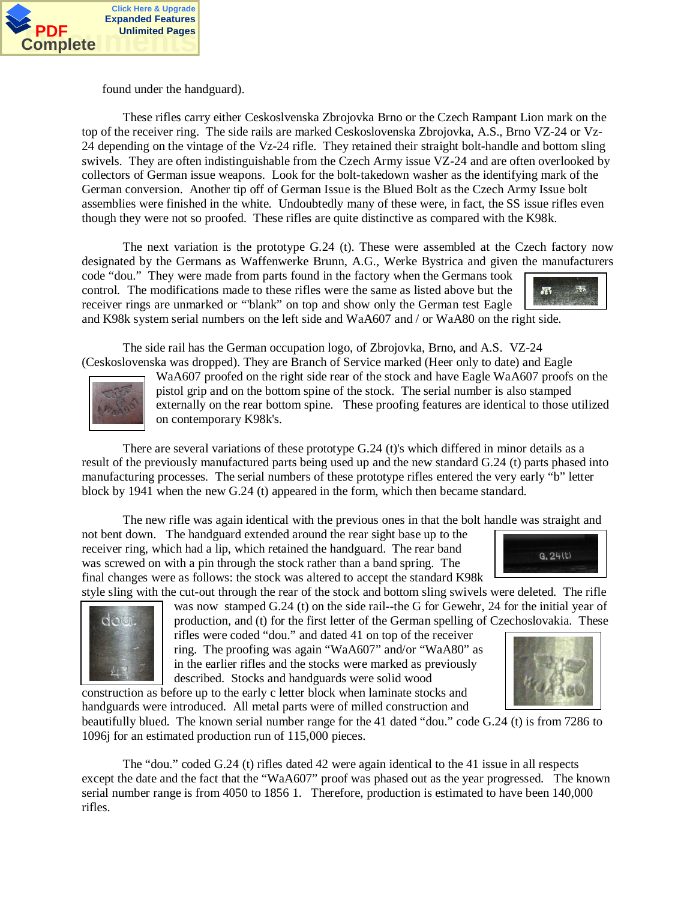

dou

found under the handguard).

These rifles carry either Ceskoslvenska Zbrojovka Brno or the Czech Rampant Lion mark on the top of the receiver ring. The side rails are marked Ceskoslovenska Zbrojovka, A.S., Brno VZ-24 or Vz-24 depending on the vintage of the Vz-24 rifle. They retained their straight bolt-handle and bottom sling swivels. They are often indistinguishable from the Czech Army issue VZ-24 and are often overlooked by collectors of German issue weapons. Look for the bolt-takedown washer as the identifying mark of the German conversion. Another tip off of German Issue is the Blued Bolt as the Czech Army Issue bolt assemblies were finished in the white. Undoubtedly many of these were, in fact, the SS issue rifles even though they were not so proofed. These rifles are quite distinctive as compared with the K98k.

The next variation is the prototype G.24 (t). These were assembled at the Czech factory now designated by the Germans as Waffenwerke Brunn, A.G., Werke Bystrica and given the manufacturers

code "dou." They were made from parts found in the factory when the Germans took control. The modifications made to these rifles were the same as listed above but the receiver rings are unmarked or "'blank" on top and show only the German test Eagle and K98k system serial numbers on the left side and WaA607 and / or WaA80 on the right side.

The side rail has the German occupation logo, of Zbrojovka, Brno, and A.S. VZ-24 (Ceskoslovenska was dropped). They are Branch of Service marked (Heer only to date) and Eagle

WaA607 proofed on the right side rear of the stock and have Eagle WaA607 proofs on the pistol grip and on the bottom spine of the stock. The serial number is also stamped externally on the rear bottom spine. These proofing features are identical to those utilized on contemporary K98k's.

There are several variations of these prototype G.24 (t)'s which differed in minor details as a result of the previously manufactured parts being used up and the new standard G.24 (t) parts phased into manufacturing processes. The serial numbers of these prototype rifles entered the very early "b" letter block by 1941 when the new G.24 (t) appeared in the form, which then became standard.

The new rifle was again identical with the previous ones in that the bolt handle was straight and

not bent down. The handguard extended around the rear sight base up to the receiver ring, which had a lip, which retained the handguard. The rear band was screwed on with a pin through the stock rather than a band spring. The final changes were as follows: the stock was altered to accept the standard K98k

style sling with the cut-out through the rear of the stock and bottom sling swivels were deleted. The rifle was now stamped G.24 (t) on the side rail--the G for Gewehr, 24 for the initial year of production, and (t) for the first letter of the German spelling of Czechoslovakia. These

rifles were coded "dou." and dated 41 on top of the receiver ring. The proofing was again "WaA607" and/or "WaA80" as in the earlier rifles and the stocks were marked as previously described. Stocks and handguards were solid wood

construction as before up to the early c letter block when laminate stocks and handguards were introduced. All metal parts were of milled construction and

beautifully blued. The known serial number range for the 41 dated "dou." code G.24 (t) is from 7286 to 1096j for an estimated production run of 115,000 pieces.

The "dou." coded G.24 (t) rifles dated 42 were again identical to the 41 issue in all respects except the date and the fact that the "WaA607" proof was phased out as the year progressed. The known serial number range is from 4050 to 1856 1. Therefore, production is estimated to have been 140,000 rifles.



 $9.24(t)$ 





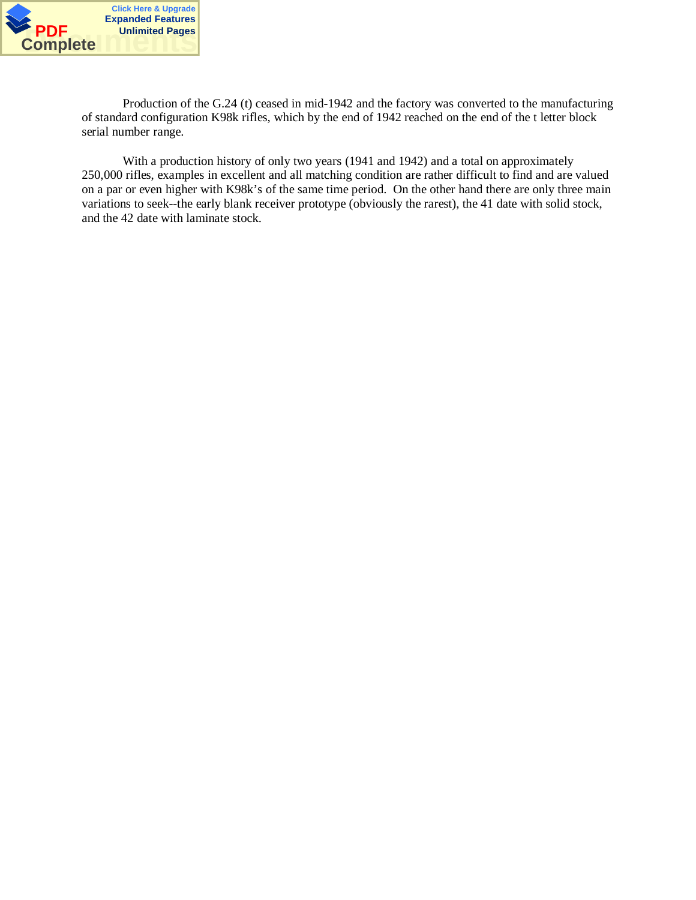

Production of the G.24 (t) ceased in mid-1942 and the factory was converted to the manufacturing of standard configuration K98k rifles, which by the end of 1942 reached on the end of the t letter block serial number range.

With a production history of only two years (1941 and 1942) and a total on approximately 250,000 rifles, examples in excellent and all matching condition are rather difficult to find and are valued on a par or even higher with K98k's of the same time period. On the other hand there are only three main variations to seek--the early blank receiver prototype (obviously the rarest), the 41 date with solid stock, and the 42 date with laminate stock.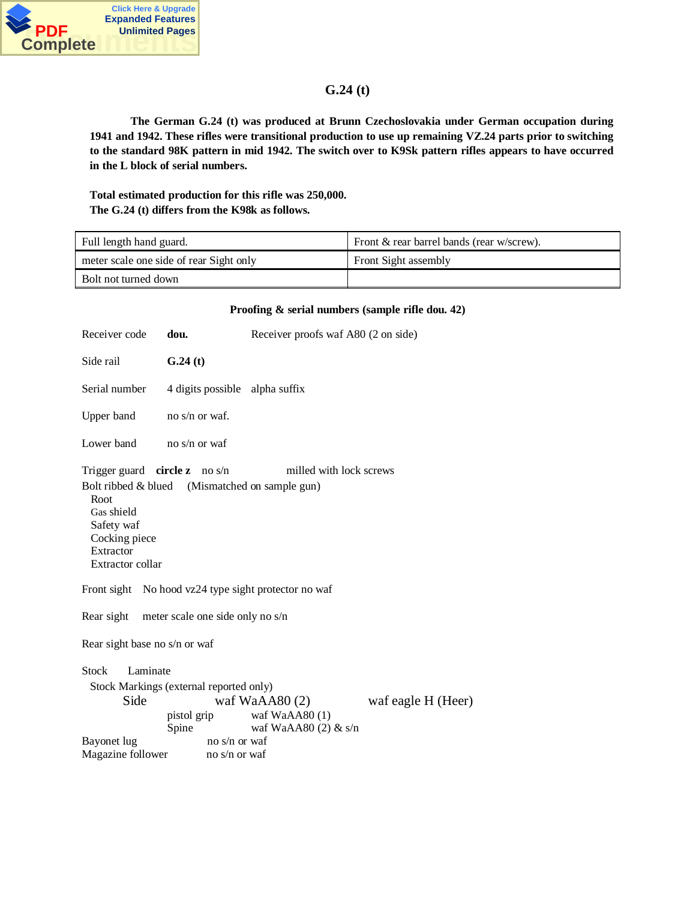

## **G.24 (t)**

**The German G.24 (t) was produced at Brunn Czechoslovakia under German occupation during 1941 and 1942. These rifles were transitional production to use up remaining VZ.24 parts prior to switching to the standard 98K pattern in mid 1942. The switch over to K9Sk pattern rifles appears to have occurred in the L block of serial numbers.**

**Total estimated production for this rifle was 250,000. The G.24 (t) differs from the K98k as follows.**

| Full length hand guard.                 | Front & rear barrel bands (rear w/screw). |
|-----------------------------------------|-------------------------------------------|
| meter scale one side of rear Sight only | Front Sight assembly                      |
| Bolt not turned down                    |                                           |

|                                                                                                                                                                                                         |                                                                                                   | Proofing & serial numbers (sample rifle dou. 42)           |                    |  |  |
|---------------------------------------------------------------------------------------------------------------------------------------------------------------------------------------------------------|---------------------------------------------------------------------------------------------------|------------------------------------------------------------|--------------------|--|--|
| Receiver code                                                                                                                                                                                           | dou.                                                                                              | Receiver proofs waf A80 (2 on side)                        |                    |  |  |
| Side rail                                                                                                                                                                                               | G.24(t)                                                                                           |                                                            |                    |  |  |
| Serial number                                                                                                                                                                                           | 4 digits possible alpha suffix                                                                    |                                                            |                    |  |  |
| Upper band                                                                                                                                                                                              | no $s/n$ or waf.                                                                                  |                                                            |                    |  |  |
| Lower band                                                                                                                                                                                              | no s/n or waf                                                                                     |                                                            |                    |  |  |
| Trigger guard <b>circle z</b> no s/n<br>milled with lock screws<br>Bolt ribbed & blued (Mismatched on sample gun)<br>Root<br>Gas shield<br>Safety waf<br>Cocking piece<br>Extractor<br>Extractor collar |                                                                                                   |                                                            |                    |  |  |
| Front sight No hood vz24 type sight protector no waf                                                                                                                                                    |                                                                                                   |                                                            |                    |  |  |
| Rear sight meter scale one side only no s/n                                                                                                                                                             |                                                                                                   |                                                            |                    |  |  |
| Rear sight base no s/n or waf                                                                                                                                                                           |                                                                                                   |                                                            |                    |  |  |
| Laminate<br><b>Stock</b><br>Side<br>Bayonet lug<br>Magazine follower                                                                                                                                    | Stock Markings (external reported only)<br>pistol grip<br>Spine<br>no s/n or waf<br>no s/n or waf | waf WaAA $80(2)$<br>waf WaAA80 (1)<br>waf WaAA80 (2) & s/n | waf eagle H (Heer) |  |  |